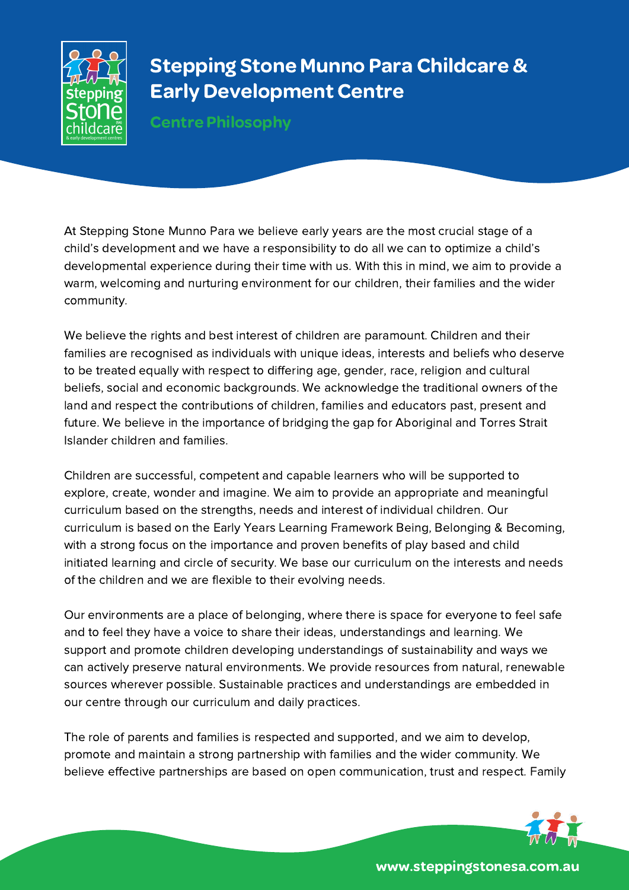

## Stepping Stone Munno Para Childcare& **Early Development Centre**

Centre Philosophy

At Stepping Stone Munno Para we believe early years are the most crucial stage of a child's development and we have a responsibility to do all we can to optimize a child's developmental experience during their time with us. With this in mind, we aim to provide a warm, welcoming and nurturing environment for our children, their families and the wider community.

We believe the rights and best interest of children are paramount. Children and their families are recognised as individuals with unique ideas, interests and beliefs who deserve to be treated equally with respect to differing age, gender, race, religion and cultural beliefs, social and economic backgrounds. We acknowledge the traditional owners of the land and respect the contributions of children, families and educators past, present and future. We believe in the importance of bridging the gap for Aboriginal and Torres Strait Islander children and families.

Children are successful, competent and capable learners who will be supported to explore, create, wonder and imagine. We aim to provide an appropriate and meaningful curriculum based on the strengths, needs and interest of individual children. Our curriculum is based on the Early Years Learning Framework Being, Belonging & Becoming, with a strong focus on the importance and proven benefits of play based and child initiated learning and circle of security. We base our curriculum on the interests and needs of the children and we are flexible to their evolving needs.

Our environments are a place of belonging, where there is space for everyone to feel safe and to feel they have a voice to share their ideas, understandings and learning. We support and promote children developing understandings of sustainability and ways we can actively preserve natural environments. We provide resources from natural, renewable sources wherever possible. Sustainable practices and understandings are embedded in our centre through our curriculum and daily practices.

The role of parents and families is respected and supported, and we aim to develop, promote and maintain a strong partnership with families and the wider community. We believe effective partnerships are based on open communication, trust and respect. Family